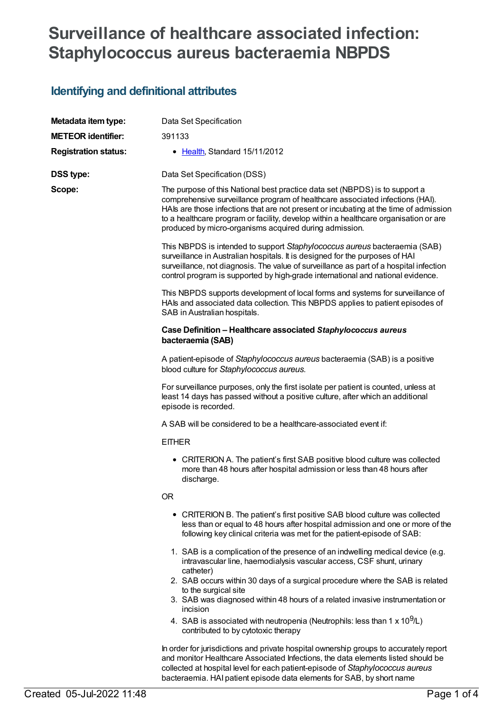# **Surveillance of healthcare associated infection: Staphylococcus aureus bacteraemia NBPDS**

# **Identifying and definitional attributes**

| Metadata item type:         | Data Set Specification                                                                                                                                                                                                                                                                                                                                                                                  |  |  |
|-----------------------------|---------------------------------------------------------------------------------------------------------------------------------------------------------------------------------------------------------------------------------------------------------------------------------------------------------------------------------------------------------------------------------------------------------|--|--|
| <b>METEOR identifier:</b>   | 391133                                                                                                                                                                                                                                                                                                                                                                                                  |  |  |
| <b>Registration status:</b> | • Health, Standard 15/11/2012                                                                                                                                                                                                                                                                                                                                                                           |  |  |
| <b>DSS type:</b>            | Data Set Specification (DSS)                                                                                                                                                                                                                                                                                                                                                                            |  |  |
| Scope:                      | The purpose of this National best practice data set (NBPDS) is to support a<br>comprehensive surveillance program of healthcare associated infections (HAI).<br>HAIs are those infections that are not present or incubating at the time of admission<br>to a healthcare program or facility, develop within a healthcare organisation or are<br>produced by micro-organisms acquired during admission. |  |  |
|                             | This NBPDS is intended to support Staphylococcus aureus bacteraemia (SAB)<br>surveillance in Australian hospitals. It is designed for the purposes of HAI<br>surveillance, not diagnosis. The value of surveillance as part of a hospital infection<br>control program is supported by high-grade international and national evidence.                                                                  |  |  |
|                             | This NBPDS supports development of local forms and systems for surveillance of<br>HAIs and associated data collection. This NBPDS applies to patient episodes of<br>SAB in Australian hospitals.                                                                                                                                                                                                        |  |  |
|                             | Case Definition - Healthcare associated Staphylococcus aureus<br>bacteraemia (SAB)                                                                                                                                                                                                                                                                                                                      |  |  |
|                             | A patient-episode of Staphylococcus aureus bacteraemia (SAB) is a positive<br>blood culture for Staphylococcus aureus.                                                                                                                                                                                                                                                                                  |  |  |
|                             | For surveillance purposes, only the first isolate per patient is counted, unless at<br>least 14 days has passed without a positive culture, after which an additional<br>episode is recorded.                                                                                                                                                                                                           |  |  |
|                             | A SAB will be considered to be a healthcare-associated event if:                                                                                                                                                                                                                                                                                                                                        |  |  |
|                             | <b>EITHER</b>                                                                                                                                                                                                                                                                                                                                                                                           |  |  |
|                             | • CRITERION A. The patient's first SAB positive blood culture was collected<br>more than 48 hours after hospital admission or less than 48 hours after<br>discharge.                                                                                                                                                                                                                                    |  |  |
|                             | <b>OR</b>                                                                                                                                                                                                                                                                                                                                                                                               |  |  |
|                             | • CRITERION B. The patient's first positive SAB blood culture was collected<br>less than or equal to 48 hours after hospital admission and one or more of the<br>following key clinical criteria was met for the patient-episode of SAB:                                                                                                                                                                |  |  |
|                             | 1. SAB is a complication of the presence of an indwelling medical device (e.g.<br>intravascular line, haemodialysis vascular access, CSF shunt, urinary<br>catheter)                                                                                                                                                                                                                                    |  |  |
|                             | 2. SAB occurs within 30 days of a surgical procedure where the SAB is related                                                                                                                                                                                                                                                                                                                           |  |  |
|                             | to the surgical site<br>3. SAB was diagnosed within 48 hours of a related invasive instrumentation or<br>incision                                                                                                                                                                                                                                                                                       |  |  |
|                             | 4. SAB is associated with neutropenia (Neutrophils: less than 1 x 10 <sup>9</sup> /L)<br>contributed to by cytotoxic therapy                                                                                                                                                                                                                                                                            |  |  |
|                             | In order for jurisdictions and private hospital ownership groups to accurately report<br>and monitor Healthcare Associated Infections, the data elements listed should be                                                                                                                                                                                                                               |  |  |

collected at hospital level for each patient-episode of *Staphylococcus aureus* bacteraemia. HAI patient episode data elements for SAB, by short name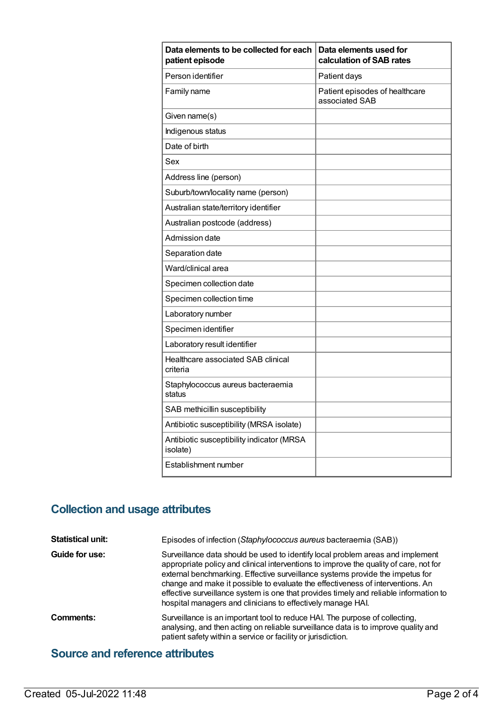| Data elements to be collected for each<br>patient episode | Data elements used for<br>calculation of SAB rates |  |
|-----------------------------------------------------------|----------------------------------------------------|--|
| Person identifier                                         | Patient days                                       |  |
| Family name                                               | Patient episodes of healthcare<br>associated SAB   |  |
| Given name(s)                                             |                                                    |  |
| Indigenous status                                         |                                                    |  |
| Date of birth                                             |                                                    |  |
| Sex                                                       |                                                    |  |
| Address line (person)                                     |                                                    |  |
| Suburb/town/locality name (person)                        |                                                    |  |
| Australian state/territory identifier                     |                                                    |  |
| Australian postcode (address)                             |                                                    |  |
| Admission date                                            |                                                    |  |
| Separation date                                           |                                                    |  |
| Ward/clinical area                                        |                                                    |  |
| Specimen collection date                                  |                                                    |  |
| Specimen collection time                                  |                                                    |  |
| Laboratory number                                         |                                                    |  |
| Specimen identifier                                       |                                                    |  |
| Laboratory result identifier                              |                                                    |  |
| Healthcare associated SAB clinical<br>criteria            |                                                    |  |
| Staphylococcus aureus bacteraemia<br>status               |                                                    |  |
| SAB methicillin susceptibility                            |                                                    |  |
| Antibiotic susceptibility (MRSA isolate)                  |                                                    |  |
| Antibiotic susceptibility indicator (MRSA<br>isolate)     |                                                    |  |
| Establishment number                                      |                                                    |  |

## **Collection and usage attributes**

**Statistical unit:** Episodes of infection (*Staphylococcus aureus* bacteraemia (SAB)) **Guide for use:** Surveillance data should be used to identify local problem areas and implement appropriate policy and clinical interventions to improve the quality of care, not for external benchmarking. Effective surveillance systems provide the impetus for change and make it possible to evaluate the effectiveness of interventions. An effective surveillance system is one that provides timely and reliable information to hospital managers and clinicians to effectively manage HAI. **Comments:** Surveillance is an important tool to reduce HAI. The purpose of collecting, analysing, and then acting on reliable surveillance data is to improve quality and patient safety within a service or facility or jurisdiction.

### **Source and reference attributes**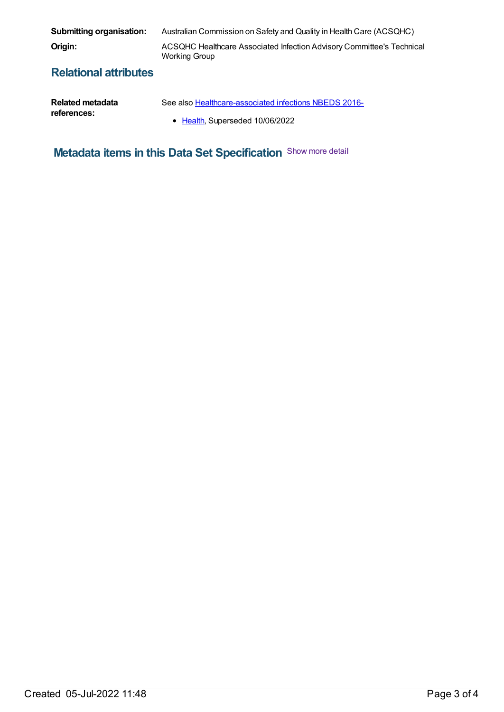| Submitting organisation:     | Australian Commission on Safety and Quality in Health Care (ACSQHC)                    |
|------------------------------|----------------------------------------------------------------------------------------|
| Origin:                      | ACSQHC Healthcare Associated Infection Advisory Committee's Technical<br>Working Group |
| <b>Dolotional offributes</b> |                                                                                        |

### **Relational attributes**

| Related metadata | See also Healthcare-associated infections NBEDS 2016- |
|------------------|-------------------------------------------------------|
| references:      | • Health, Superseded 10/06/2022                       |

**Metadata items in this Data Set Specification** Show more detail